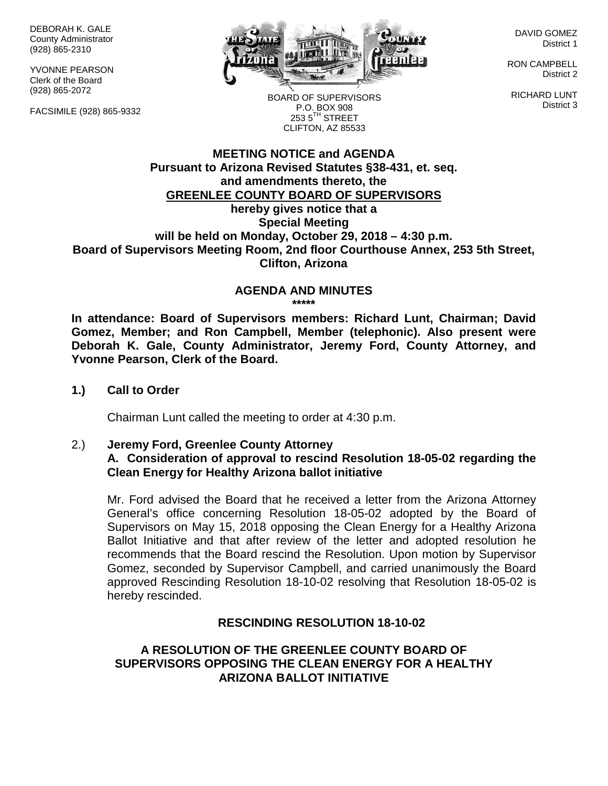DEBORAH K. GALE County Administrator (928) 865-2310

YVONNE PEARSON Clerk of the Board (928) 865-2072

FACSIMILE (928) 865-9332



DAVID GOMEZ District 1

RON CAMPBELL District 2

RICHARD LUNT District 3

BOARD OF SUPERVISORS P.O. BOX 908  $253.5$ <sup>TH</sup> STREET CLIFTON, AZ 85533

## **MEETING NOTICE and AGENDA Pursuant to Arizona Revised Statutes §38-431, et. seq. and amendments thereto, the GREENLEE COUNTY BOARD OF SUPERVISORS hereby gives notice that a Special Meeting will be held on Monday, October 29, 2018 – 4:30 p.m. Board of Supervisors Meeting Room, 2nd floor Courthouse Annex, 253 5th Street, Clifton, Arizona**

#### **AGENDA AND MINUTES \*\*\*\*\***

**In attendance: Board of Supervisors members: Richard Lunt, Chairman; David Gomez, Member; and Ron Campbell, Member (telephonic). Also present were Deborah K. Gale, County Administrator, Jeremy Ford, County Attorney, and Yvonne Pearson, Clerk of the Board.**

**1.) Call to Order**

Chairman Lunt called the meeting to order at 4:30 p.m.

2.) **Jeremy Ford, Greenlee County Attorney A. Consideration of approval to rescind Resolution 18-05-02 regarding the Clean Energy for Healthy Arizona ballot initiative**

Mr. Ford advised the Board that he received a letter from the Arizona Attorney General's office concerning Resolution 18-05-02 adopted by the Board of Supervisors on May 15, 2018 opposing the Clean Energy for a Healthy Arizona Ballot Initiative and that after review of the letter and adopted resolution he recommends that the Board rescind the Resolution. Upon motion by Supervisor Gomez, seconded by Supervisor Campbell, and carried unanimously the Board approved Rescinding Resolution 18-10-02 resolving that Resolution 18-05-02 is hereby rescinded.

## **RESCINDING RESOLUTION 18-10-02**

# **A RESOLUTION OF THE GREENLEE COUNTY BOARD OF SUPERVISORS OPPOSING THE CLEAN ENERGY FOR A HEALTHY ARIZONA BALLOT INITIATIVE**